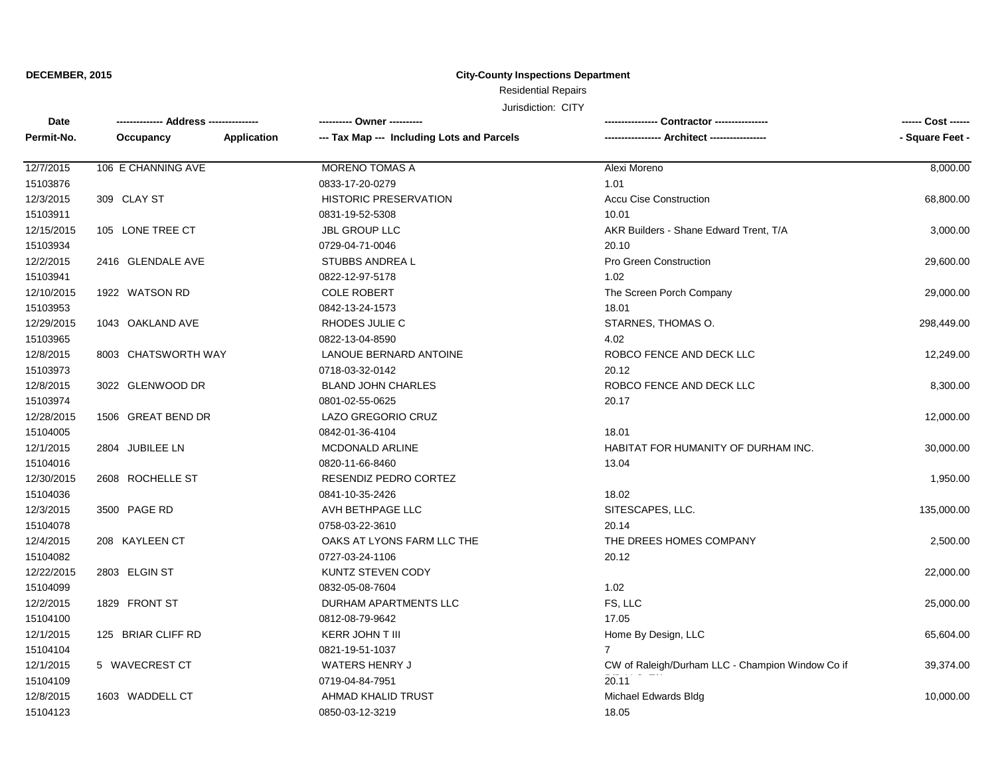## **City-County Inspections Department**

# Residential Repairs

| Date       |                     |             | ---------- Owner ----------                | Contractor ----------------                      |                 |
|------------|---------------------|-------------|--------------------------------------------|--------------------------------------------------|-----------------|
| Permit-No. | Occupancy           | Application | --- Tax Map --- Including Lots and Parcels | -- Architect -----------------                   | - Square Feet - |
| 12/7/2015  | 106 E CHANNING AVE  |             | <b>MORENO TOMAS A</b>                      | Alexi Moreno                                     | 8,000.00        |
| 15103876   |                     |             | 0833-17-20-0279                            | 1.01                                             |                 |
| 12/3/2015  | 309 CLAY ST         |             | <b>HISTORIC PRESERVATION</b>               | <b>Accu Cise Construction</b>                    | 68,800.00       |
| 15103911   |                     |             | 0831-19-52-5308                            | 10.01                                            |                 |
| 12/15/2015 | 105 LONE TREE CT    |             | <b>JBL GROUP LLC</b>                       | AKR Builders - Shane Edward Trent, T/A           | 3,000.00        |
| 15103934   |                     |             | 0729-04-71-0046                            | 20.10                                            |                 |
| 12/2/2015  | 2416 GLENDALE AVE   |             | STUBBS ANDREA L                            | Pro Green Construction                           | 29,600.00       |
| 15103941   |                     |             | 0822-12-97-5178                            | 1.02                                             |                 |
| 12/10/2015 | 1922 WATSON RD      |             | <b>COLE ROBERT</b>                         | The Screen Porch Company                         | 29,000.00       |
| 15103953   |                     |             | 0842-13-24-1573                            | 18.01                                            |                 |
| 12/29/2015 | 1043 OAKLAND AVE    |             | RHODES JULIE C                             | STARNES, THOMAS O.                               | 298,449.00      |
| 15103965   |                     |             | 0822-13-04-8590                            | 4.02                                             |                 |
| 12/8/2015  | 8003 CHATSWORTH WAY |             | LANOUE BERNARD ANTOINE                     | ROBCO FENCE AND DECK LLC                         | 12,249.00       |
| 15103973   |                     |             | 0718-03-32-0142                            | 20.12                                            |                 |
| 12/8/2015  | 3022 GLENWOOD DR    |             | <b>BLAND JOHN CHARLES</b>                  | ROBCO FENCE AND DECK LLC                         | 8,300.00        |
| 15103974   |                     |             | 0801-02-55-0625                            | 20.17                                            |                 |
| 12/28/2015 | 1506 GREAT BEND DR  |             | <b>LAZO GREGORIO CRUZ</b>                  |                                                  | 12,000.00       |
| 15104005   |                     |             | 0842-01-36-4104                            | 18.01                                            |                 |
| 12/1/2015  | 2804 JUBILEE LN     |             | <b>MCDONALD ARLINE</b>                     | HABITAT FOR HUMANITY OF DURHAM INC.              | 30,000.00       |
| 15104016   |                     |             | 0820-11-66-8460                            | 13.04                                            |                 |
| 12/30/2015 | 2608 ROCHELLE ST    |             | RESENDIZ PEDRO CORTEZ                      |                                                  | 1,950.00        |
| 15104036   |                     |             | 0841-10-35-2426                            | 18.02                                            |                 |
| 12/3/2015  | 3500 PAGE RD        |             | AVH BETHPAGE LLC                           | SITESCAPES, LLC.                                 | 135,000.00      |
| 15104078   |                     |             | 0758-03-22-3610                            | 20.14                                            |                 |
| 12/4/2015  | 208 KAYLEEN CT      |             | OAKS AT LYONS FARM LLC THE                 | THE DREES HOMES COMPANY                          | 2,500.00        |
| 15104082   |                     |             | 0727-03-24-1106                            | 20.12                                            |                 |
| 12/22/2015 | 2803 ELGIN ST       |             | <b>KUNTZ STEVEN CODY</b>                   |                                                  | 22,000.00       |
| 15104099   |                     |             | 0832-05-08-7604                            | 1.02                                             |                 |
| 12/2/2015  | 1829 FRONT ST       |             | DURHAM APARTMENTS LLC                      | FS, LLC                                          | 25,000.00       |
| 15104100   |                     |             | 0812-08-79-9642                            | 17.05                                            |                 |
| 12/1/2015  | 125 BRIAR CLIFF RD  |             | KERR JOHN T III                            | Home By Design, LLC                              | 65,604.00       |
| 15104104   |                     |             | 0821-19-51-1037                            | $\overline{7}$                                   |                 |
| 12/1/2015  | 5 WAVECREST CT      |             | WATERS HENRY J                             | CW of Raleigh/Durham LLC - Champion Window Co if | 39,374.00       |
| 15104109   |                     |             | 0719-04-84-7951                            | 20.11                                            |                 |
| 12/8/2015  | 1603 WADDELL CT     |             | AHMAD KHALID TRUST                         | Michael Edwards Bldg                             | 10,000.00       |
| 15104123   |                     |             | 0850-03-12-3219                            | 18.05                                            |                 |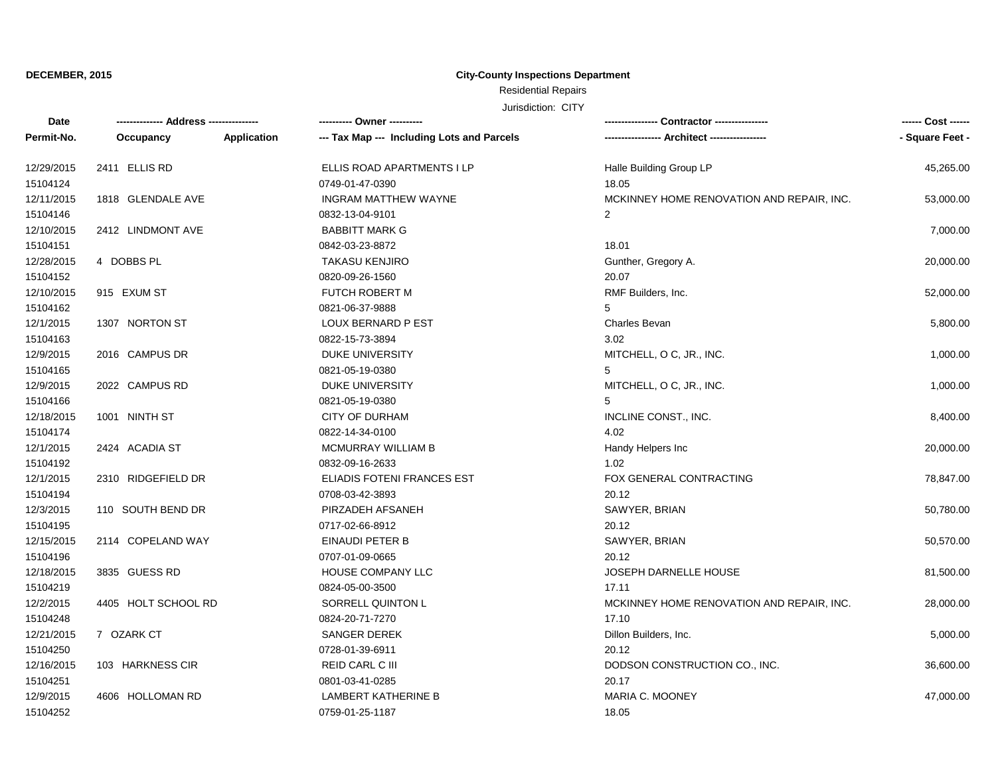## **City-County Inspections Department**

# Residential Repairs

| Date       |                     |             | ---------- Owner ----------                |                                           | ------ Cost ------ |
|------------|---------------------|-------------|--------------------------------------------|-------------------------------------------|--------------------|
| Permit-No. | Occupancy           | Application | --- Tax Map --- Including Lots and Parcels |                                           | - Square Feet -    |
| 12/29/2015 | 2411 ELLIS RD       |             | ELLIS ROAD APARTMENTS I LP                 | Halle Building Group LP                   | 45,265.00          |
| 15104124   |                     |             | 0749-01-47-0390                            | 18.05                                     |                    |
| 12/11/2015 | 1818 GLENDALE AVE   |             | <b>INGRAM MATTHEW WAYNE</b>                | MCKINNEY HOME RENOVATION AND REPAIR, INC. | 53,000.00          |
| 15104146   |                     |             | 0832-13-04-9101                            | $\overline{2}$                            |                    |
| 12/10/2015 | 2412 LINDMONT AVE   |             | <b>BABBITT MARK G</b>                      |                                           | 7,000.00           |
| 15104151   |                     |             | 0842-03-23-8872                            | 18.01                                     |                    |
| 12/28/2015 | 4 DOBBS PL          |             | <b>TAKASU KENJIRO</b>                      | Gunther, Gregory A.                       | 20,000.00          |
| 15104152   |                     |             | 0820-09-26-1560                            | 20.07                                     |                    |
| 12/10/2015 | 915 EXUM ST         |             | <b>FUTCH ROBERT M</b>                      | RMF Builders, Inc.                        | 52,000.00          |
| 15104162   |                     |             | 0821-06-37-9888                            | 5                                         |                    |
| 12/1/2015  | 1307 NORTON ST      |             | LOUX BERNARD P EST                         | <b>Charles Bevan</b>                      | 5,800.00           |
| 15104163   |                     |             | 0822-15-73-3894                            | 3.02                                      |                    |
| 12/9/2015  | 2016 CAMPUS DR      |             | DUKE UNIVERSITY                            | MITCHELL, O C, JR., INC.                  | 1,000.00           |
| 15104165   |                     |             | 0821-05-19-0380                            | 5                                         |                    |
| 12/9/2015  | 2022 CAMPUS RD      |             | DUKE UNIVERSITY                            | MITCHELL, O C, JR., INC.                  | 1,000.00           |
| 15104166   |                     |             | 0821-05-19-0380                            | 5                                         |                    |
| 12/18/2015 | 1001 NINTH ST       |             | <b>CITY OF DURHAM</b>                      | INCLINE CONST., INC.                      | 8,400.00           |
| 15104174   |                     |             | 0822-14-34-0100                            | 4.02                                      |                    |
| 12/1/2015  | 2424 ACADIA ST      |             | MCMURRAY WILLIAM B                         | Handy Helpers Inc                         | 20,000.00          |
| 15104192   |                     |             | 0832-09-16-2633                            | 1.02                                      |                    |
| 12/1/2015  | 2310 RIDGEFIELD DR  |             | ELIADIS FOTENI FRANCES EST                 | FOX GENERAL CONTRACTING                   | 78,847.00          |
| 15104194   |                     |             | 0708-03-42-3893                            | 20.12                                     |                    |
| 12/3/2015  | 110 SOUTH BEND DR   |             | PIRZADEH AFSANEH                           | SAWYER, BRIAN                             | 50,780.00          |
| 15104195   |                     |             | 0717-02-66-8912                            | 20.12                                     |                    |
| 12/15/2015 | 2114 COPELAND WAY   |             | EINAUDI PETER B                            | SAWYER, BRIAN                             | 50,570.00          |
| 15104196   |                     |             | 0707-01-09-0665                            | 20.12                                     |                    |
| 12/18/2015 | 3835 GUESS RD       |             | HOUSE COMPANY LLC                          | <b>JOSEPH DARNELLE HOUSE</b>              | 81,500.00          |
| 15104219   |                     |             | 0824-05-00-3500                            | 17.11                                     |                    |
| 12/2/2015  | 4405 HOLT SCHOOL RD |             | SORRELL QUINTON L                          | MCKINNEY HOME RENOVATION AND REPAIR, INC. | 28,000.00          |
| 15104248   |                     |             | 0824-20-71-7270                            | 17.10                                     |                    |
| 12/21/2015 | 7 OZARK CT          |             | <b>SANGER DEREK</b>                        | Dillon Builders, Inc.                     | 5,000.00           |
| 15104250   |                     |             | 0728-01-39-6911                            | 20.12                                     |                    |
| 12/16/2015 | 103 HARKNESS CIR    |             | REID CARL C III                            | DODSON CONSTRUCTION CO., INC.             | 36,600.00          |
| 15104251   |                     |             | 0801-03-41-0285                            | 20.17                                     |                    |
| 12/9/2015  | 4606 HOLLOMAN RD    |             | <b>LAMBERT KATHERINE B</b>                 | <b>MARIA C. MOONEY</b>                    | 47,000.00          |
| 15104252   |                     |             | 0759-01-25-1187                            | 18.05                                     |                    |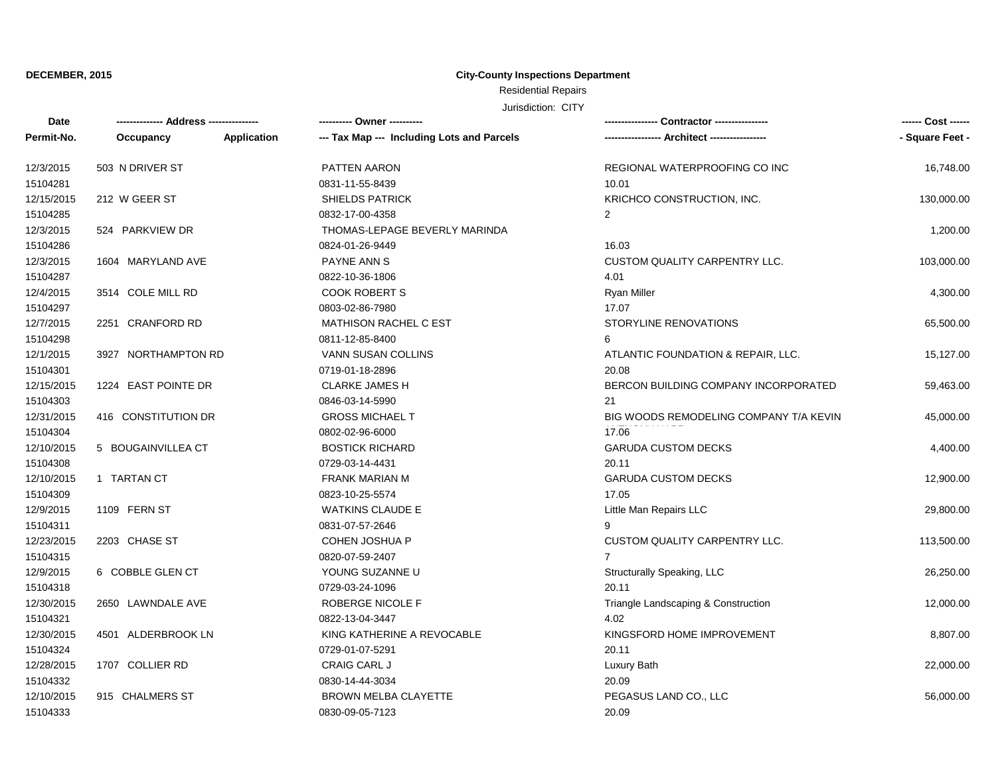## **City-County Inspections Department**

# Residential Repairs

| Date       |                     |             | ---------- Owner ----------                |                                        | ------ Cost ------ |
|------------|---------------------|-------------|--------------------------------------------|----------------------------------------|--------------------|
| Permit-No. | Occupancy           | Application | --- Tax Map --- Including Lots and Parcels |                                        | - Square Feet -    |
| 12/3/2015  | 503 N DRIVER ST     |             | PATTEN AARON                               | REGIONAL WATERPROOFING CO INC          | 16,748.00          |
| 15104281   |                     |             | 0831-11-55-8439                            | 10.01                                  |                    |
| 12/15/2015 | 212 W GEER ST       |             | <b>SHIELDS PATRICK</b>                     | KRICHCO CONSTRUCTION, INC.             | 130,000.00         |
| 15104285   |                     |             | 0832-17-00-4358                            | $\overline{2}$                         |                    |
| 12/3/2015  | 524 PARKVIEW DR     |             | THOMAS-LEPAGE BEVERLY MARINDA              |                                        | 1,200.00           |
| 15104286   |                     |             | 0824-01-26-9449                            | 16.03                                  |                    |
| 12/3/2015  | 1604 MARYLAND AVE   |             | PAYNE ANN S                                | CUSTOM QUALITY CARPENTRY LLC.          | 103,000.00         |
| 15104287   |                     |             | 0822-10-36-1806                            | 4.01                                   |                    |
| 12/4/2015  | 3514 COLE MILL RD   |             | <b>COOK ROBERT S</b>                       | <b>Ryan Miller</b>                     | 4,300.00           |
| 15104297   |                     |             | 0803-02-86-7980                            | 17.07                                  |                    |
| 12/7/2015  | 2251 CRANFORD RD    |             | <b>MATHISON RACHEL C EST</b>               | STORYLINE RENOVATIONS                  | 65,500.00          |
| 15104298   |                     |             | 0811-12-85-8400                            | 6                                      |                    |
| 12/1/2015  | 3927 NORTHAMPTON RD |             | VANN SUSAN COLLINS                         | ATLANTIC FOUNDATION & REPAIR, LLC.     | 15,127.00          |
| 15104301   |                     |             | 0719-01-18-2896                            | 20.08                                  |                    |
| 12/15/2015 | 1224 EAST POINTE DR |             | <b>CLARKE JAMES H</b>                      | BERCON BUILDING COMPANY INCORPORATED   | 59,463.00          |
| 15104303   |                     |             | 0846-03-14-5990                            | 21                                     |                    |
| 12/31/2015 | 416 CONSTITUTION DR |             | <b>GROSS MICHAEL T</b>                     | BIG WOODS REMODELING COMPANY T/A KEVIN | 45,000.00          |
| 15104304   |                     |             | 0802-02-96-6000                            | 17.06                                  |                    |
| 12/10/2015 | 5 BOUGAINVILLEA CT  |             | <b>BOSTICK RICHARD</b>                     | <b>GARUDA CUSTOM DECKS</b>             | 4,400.00           |
| 15104308   |                     |             | 0729-03-14-4431                            | 20.11                                  |                    |
| 12/10/2015 | 1 TARTAN CT         |             | <b>FRANK MARIAN M</b>                      | <b>GARUDA CUSTOM DECKS</b>             | 12,900.00          |
| 15104309   |                     |             | 0823-10-25-5574                            | 17.05                                  |                    |
| 12/9/2015  | 1109 FERN ST        |             | <b>WATKINS CLAUDE E</b>                    | Little Man Repairs LLC                 | 29,800.00          |
| 15104311   |                     |             | 0831-07-57-2646                            | 9                                      |                    |
| 12/23/2015 | 2203 CHASE ST       |             | <b>COHEN JOSHUA P</b>                      | <b>CUSTOM QUALITY CARPENTRY LLC.</b>   | 113,500.00         |
| 15104315   |                     |             | 0820-07-59-2407                            | $\overline{7}$                         |                    |
| 12/9/2015  | 6 COBBLE GLEN CT    |             | YOUNG SUZANNE U                            | Structurally Speaking, LLC             | 26,250.00          |
| 15104318   |                     |             | 0729-03-24-1096                            | 20.11                                  |                    |
| 12/30/2015 | 2650 LAWNDALE AVE   |             | ROBERGE NICOLE F                           | Triangle Landscaping & Construction    | 12,000.00          |
| 15104321   |                     |             | 0822-13-04-3447                            | 4.02                                   |                    |
| 12/30/2015 | 4501 ALDERBROOK LN  |             | KING KATHERINE A REVOCABLE                 | KINGSFORD HOME IMPROVEMENT             | 8,807.00           |
| 15104324   |                     |             | 0729-01-07-5291                            | 20.11                                  |                    |
| 12/28/2015 | 1707 COLLIER RD     |             | <b>CRAIG CARL J</b>                        | Luxury Bath                            | 22,000.00          |
| 15104332   |                     |             | 0830-14-44-3034                            | 20.09                                  |                    |
| 12/10/2015 | 915 CHALMERS ST     |             | <b>BROWN MELBA CLAYETTE</b>                | PEGASUS LAND CO., LLC                  | 56,000.00          |
| 15104333   |                     |             | 0830-09-05-7123                            | 20.09                                  |                    |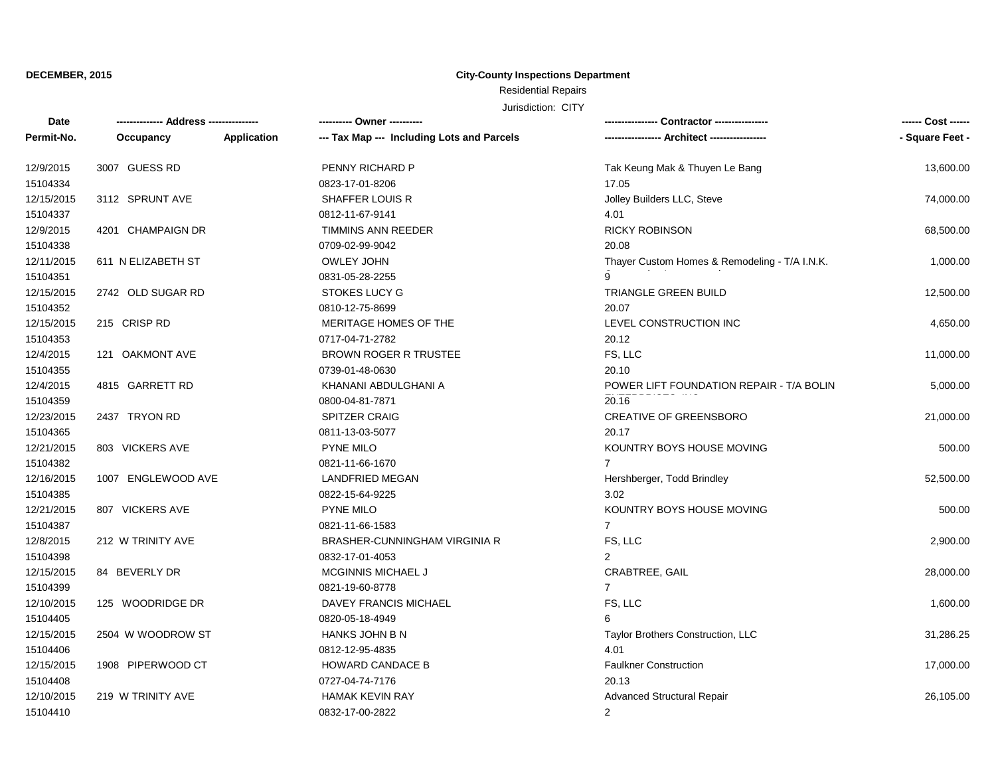## **City-County Inspections Department**

Residential Repairs

| Date       | -------------- Address --------------- |             | ---------- Owner ----------                |                                               | ------ Cost ------ |
|------------|----------------------------------------|-------------|--------------------------------------------|-----------------------------------------------|--------------------|
| Permit-No. | Occupancy                              | Application | --- Tax Map --- Including Lots and Parcels |                                               | - Square Feet -    |
| 12/9/2015  | 3007 GUESS RD                          |             | PENNY RICHARD P                            | Tak Keung Mak & Thuyen Le Bang                | 13,600.00          |
| 15104334   |                                        |             | 0823-17-01-8206                            | 17.05                                         |                    |
| 12/15/2015 | 3112 SPRUNT AVE                        |             | <b>SHAFFER LOUIS R</b>                     | Jolley Builders LLC, Steve                    | 74,000.00          |
| 15104337   |                                        |             | 0812-11-67-9141                            | 4.01                                          |                    |
| 12/9/2015  | 4201 CHAMPAIGN DR                      |             | <b>TIMMINS ANN REEDER</b>                  | <b>RICKY ROBINSON</b>                         | 68,500.00          |
| 15104338   |                                        |             | 0709-02-99-9042                            | 20.08                                         |                    |
| 12/11/2015 | 611 N ELIZABETH ST                     |             | OWLEY JOHN                                 | Thayer Custom Homes & Remodeling - T/A I.N.K. | 1,000.00           |
| 15104351   |                                        |             | 0831-05-28-2255                            |                                               |                    |
| 12/15/2015 | 2742 OLD SUGAR RD                      |             | <b>STOKES LUCY G</b>                       | TRIANGLE GREEN BUILD                          | 12,500.00          |
| 15104352   |                                        |             | 0810-12-75-8699                            | 20.07                                         |                    |
| 12/15/2015 | 215 CRISP RD                           |             | MERITAGE HOMES OF THE                      | LEVEL CONSTRUCTION INC                        | 4,650.00           |
| 15104353   |                                        |             | 0717-04-71-2782                            | 20.12                                         |                    |
| 12/4/2015  | 121 OAKMONT AVE                        |             | BROWN ROGER R TRUSTEE                      | FS, LLC                                       | 11,000.00          |
| 15104355   |                                        |             | 0739-01-48-0630                            | 20.10                                         |                    |
| 12/4/2015  | 4815 GARRETT RD                        |             | KHANANI ABDULGHANI A                       | POWER LIFT FOUNDATION REPAIR - T/A BOLIN      | 5,000.00           |
| 15104359   |                                        |             | 0800-04-81-7871                            | 20.16                                         |                    |
| 12/23/2015 | 2437 TRYON RD                          |             | <b>SPITZER CRAIG</b>                       | <b>CREATIVE OF GREENSBORO</b>                 | 21,000.00          |
| 15104365   |                                        |             | 0811-13-03-5077                            | 20.17                                         |                    |
| 12/21/2015 | 803 VICKERS AVE                        |             | <b>PYNE MILO</b>                           | KOUNTRY BOYS HOUSE MOVING                     | 500.00             |
| 15104382   |                                        |             | 0821-11-66-1670                            | $\overline{7}$                                |                    |
| 12/16/2015 | 1007 ENGLEWOOD AVE                     |             | <b>LANDFRIED MEGAN</b>                     | Hershberger, Todd Brindley                    | 52,500.00          |
| 15104385   |                                        |             | 0822-15-64-9225                            | 3.02                                          |                    |
| 12/21/2015 | 807 VICKERS AVE                        |             | <b>PYNE MILO</b>                           | KOUNTRY BOYS HOUSE MOVING                     | 500.00             |
| 15104387   |                                        |             | 0821-11-66-1583                            | $\overline{7}$                                |                    |
| 12/8/2015  | 212 W TRINITY AVE                      |             | BRASHER-CUNNINGHAM VIRGINIA R              | FS, LLC                                       | 2,900.00           |
| 15104398   |                                        |             | 0832-17-01-4053                            | $\overline{2}$                                |                    |
| 12/15/2015 | 84 BEVERLY DR                          |             | MCGINNIS MICHAEL J                         | CRABTREE, GAIL                                | 28,000.00          |
| 15104399   |                                        |             | 0821-19-60-8778                            | $\overline{7}$                                |                    |
| 12/10/2015 | 125 WOODRIDGE DR                       |             | DAVEY FRANCIS MICHAEL                      | FS, LLC                                       | 1,600.00           |
| 15104405   |                                        |             | 0820-05-18-4949                            | 6                                             |                    |
| 12/15/2015 | 2504 W WOODROW ST                      |             | HANKS JOHN B N                             | Taylor Brothers Construction, LLC             | 31,286.25          |
| 15104406   |                                        |             | 0812-12-95-4835                            | 4.01                                          |                    |
| 12/15/2015 | 1908 PIPERWOOD CT                      |             | HOWARD CANDACE B                           | <b>Faulkner Construction</b>                  | 17,000.00          |
| 15104408   |                                        |             | 0727-04-74-7176                            | 20.13                                         |                    |
| 12/10/2015 | 219 W TRINITY AVE                      |             | <b>HAMAK KEVIN RAY</b>                     | <b>Advanced Structural Repair</b>             | 26,105.00          |
| 15104410   |                                        |             | 0832-17-00-2822                            | $\overline{2}$                                |                    |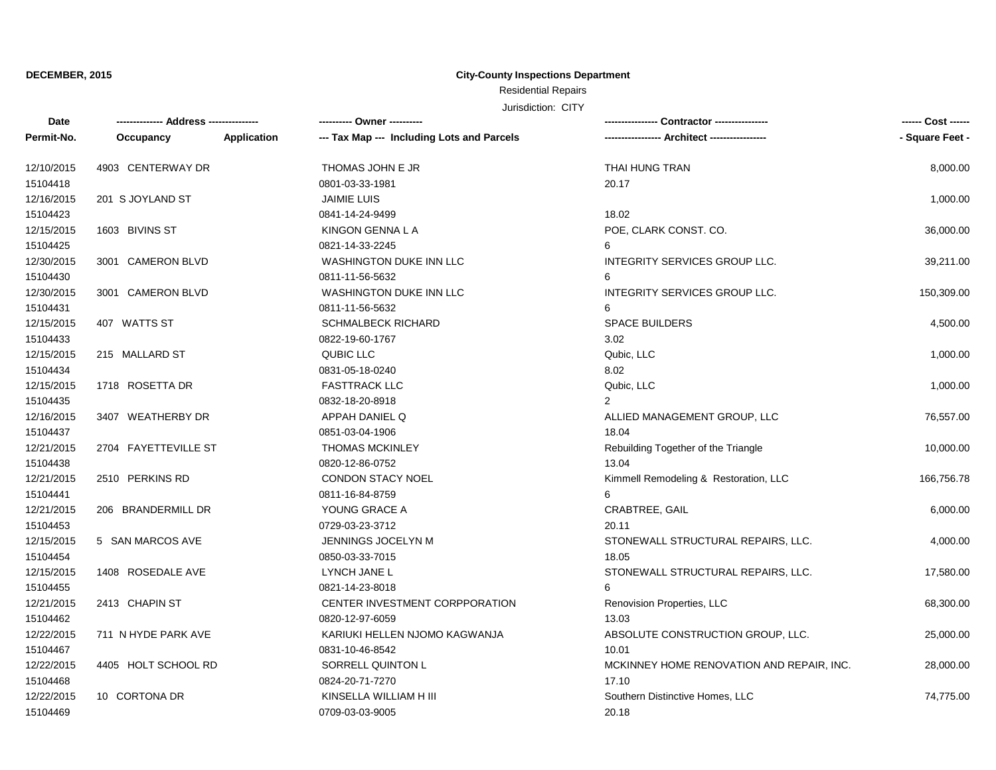## **City-County Inspections Department**

# Residential Repairs

| Date       |                      |             | ---------- Owner ----------                | --- Contractor ----------------           | ------ Cost ------ |
|------------|----------------------|-------------|--------------------------------------------|-------------------------------------------|--------------------|
| Permit-No. | Occupancy            | Application | --- Tax Map --- Including Lots and Parcels |                                           | - Square Feet -    |
| 12/10/2015 | 4903 CENTERWAY DR    |             | THOMAS JOHN E JR                           | THAI HUNG TRAN                            | 8,000.00           |
| 15104418   |                      |             | 0801-03-33-1981                            | 20.17                                     |                    |
| 12/16/2015 | 201 S JOYLAND ST     |             | <b>JAIMIE LUIS</b>                         |                                           | 1,000.00           |
| 15104423   |                      |             | 0841-14-24-9499                            | 18.02                                     |                    |
| 12/15/2015 | 1603 BIVINS ST       |             | KINGON GENNA L A                           | POE, CLARK CONST. CO.                     | 36,000.00          |
| 15104425   |                      |             | 0821-14-33-2245                            | 6                                         |                    |
| 12/30/2015 | 3001 CAMERON BLVD    |             | WASHINGTON DUKE INN LLC                    | INTEGRITY SERVICES GROUP LLC.             | 39,211.00          |
| 15104430   |                      |             | 0811-11-56-5632                            | 6                                         |                    |
| 12/30/2015 | 3001 CAMERON BLVD    |             | WASHINGTON DUKE INN LLC                    | INTEGRITY SERVICES GROUP LLC.             | 150,309.00         |
| 15104431   |                      |             | 0811-11-56-5632                            | 6                                         |                    |
| 12/15/2015 | 407 WATTS ST         |             | <b>SCHMALBECK RICHARD</b>                  | <b>SPACE BUILDERS</b>                     | 4,500.00           |
| 15104433   |                      |             | 0822-19-60-1767                            | 3.02                                      |                    |
| 12/15/2015 | 215 MALLARD ST       |             | <b>QUBIC LLC</b>                           | Qubic, LLC                                | 1,000.00           |
| 15104434   |                      |             | 0831-05-18-0240                            | 8.02                                      |                    |
| 12/15/2015 | 1718 ROSETTA DR      |             | <b>FASTTRACK LLC</b>                       | Qubic, LLC                                | 1,000.00           |
| 15104435   |                      |             | 0832-18-20-8918                            | 2                                         |                    |
| 12/16/2015 | 3407 WEATHERBY DR    |             | APPAH DANIEL Q                             | ALLIED MANAGEMENT GROUP, LLC              | 76,557.00          |
| 15104437   |                      |             | 0851-03-04-1906                            | 18.04                                     |                    |
| 12/21/2015 | 2704 FAYETTEVILLE ST |             | <b>THOMAS MCKINLEY</b>                     | Rebuilding Together of the Triangle       | 10,000.00          |
| 15104438   |                      |             | 0820-12-86-0752                            | 13.04                                     |                    |
| 12/21/2015 | 2510 PERKINS RD      |             | <b>CONDON STACY NOEL</b>                   | Kimmell Remodeling & Restoration, LLC     | 166,756.78         |
| 15104441   |                      |             | 0811-16-84-8759                            | 6                                         |                    |
| 12/21/2015 | 206 BRANDERMILL DR   |             | YOUNG GRACE A                              | CRABTREE, GAIL                            | 6,000.00           |
| 15104453   |                      |             | 0729-03-23-3712                            | 20.11                                     |                    |
| 12/15/2015 | 5 SAN MARCOS AVE     |             | JENNINGS JOCELYN M                         | STONEWALL STRUCTURAL REPAIRS, LLC.        | 4,000.00           |
| 15104454   |                      |             | 0850-03-33-7015                            | 18.05                                     |                    |
| 12/15/2015 | 1408 ROSEDALE AVE    |             | LYNCH JANE L                               | STONEWALL STRUCTURAL REPAIRS, LLC.        | 17,580.00          |
| 15104455   |                      |             | 0821-14-23-8018                            | 6                                         |                    |
| 12/21/2015 | 2413 CHAPIN ST       |             | CENTER INVESTMENT CORPPORATION             | Renovision Properties, LLC                | 68,300.00          |
| 15104462   |                      |             | 0820-12-97-6059                            | 13.03                                     |                    |
| 12/22/2015 | 711 N HYDE PARK AVE  |             | KARIUKI HELLEN NJOMO KAGWANJA              | ABSOLUTE CONSTRUCTION GROUP, LLC.         | 25,000.00          |
| 15104467   |                      |             | 0831-10-46-8542                            | 10.01                                     |                    |
| 12/22/2015 | 4405 HOLT SCHOOL RD  |             | SORRELL QUINTON L                          | MCKINNEY HOME RENOVATION AND REPAIR, INC. | 28,000.00          |
| 15104468   |                      |             | 0824-20-71-7270                            | 17.10                                     |                    |
| 12/22/2015 | 10 CORTONA DR        |             | KINSELLA WILLIAM H III                     | Southern Distinctive Homes, LLC           | 74,775.00          |
| 15104469   |                      |             | 0709-03-03-9005                            | 20.18                                     |                    |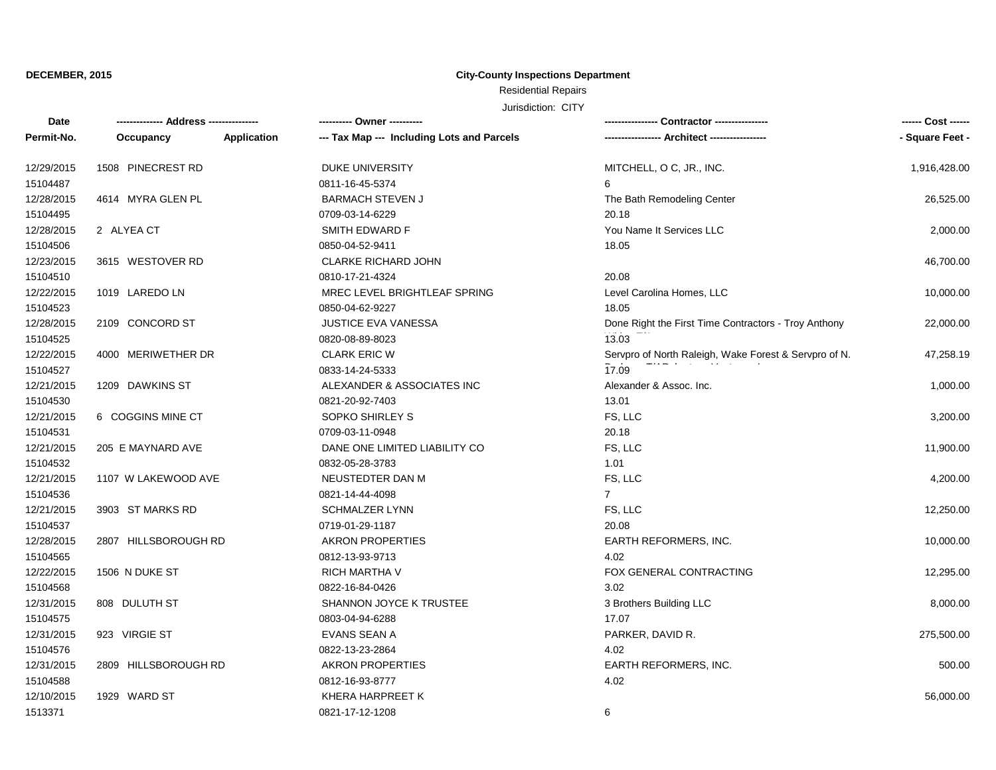## **City-County Inspections Department**

Residential Repairs

| Date       | -------------- Address --------------- |             |                                            |                                                       | ------ Cost ------ |
|------------|----------------------------------------|-------------|--------------------------------------------|-------------------------------------------------------|--------------------|
| Permit-No. | Occupancy                              | Application | --- Tax Map --- Including Lots and Parcels |                                                       | - Square Feet -    |
| 12/29/2015 | 1508 PINECREST RD                      |             | <b>DUKE UNIVERSITY</b>                     | MITCHELL, O C, JR., INC.                              | 1,916,428.00       |
| 15104487   |                                        |             | 0811-16-45-5374                            | 6                                                     |                    |
| 12/28/2015 | 4614 MYRA GLEN PL                      |             | <b>BARMACH STEVEN J</b>                    | The Bath Remodeling Center                            | 26,525.00          |
| 15104495   |                                        |             | 0709-03-14-6229                            | 20.18                                                 |                    |
| 12/28/2015 | 2 ALYEA CT                             |             | SMITH EDWARD F                             | You Name It Services LLC                              | 2,000.00           |
| 15104506   |                                        |             | 0850-04-52-9411                            | 18.05                                                 |                    |
| 12/23/2015 | 3615 WESTOVER RD                       |             | <b>CLARKE RICHARD JOHN</b>                 |                                                       | 46,700.00          |
| 15104510   |                                        |             | 0810-17-21-4324                            | 20.08                                                 |                    |
| 12/22/2015 | 1019 LAREDO LN                         |             | MREC LEVEL BRIGHTLEAF SPRING               | Level Carolina Homes, LLC                             | 10,000.00          |
| 15104523   |                                        |             | 0850-04-62-9227                            | 18.05                                                 |                    |
| 12/28/2015 | 2109 CONCORD ST                        |             | JUSTICE EVA VANESSA                        | Done Right the First Time Contractors - Troy Anthony  | 22,000.00          |
| 15104525   |                                        |             | 0820-08-89-8023                            | 13.03                                                 |                    |
| 12/22/2015 | 4000 MERIWETHER DR                     |             | <b>CLARK ERIC W</b>                        | Servpro of North Raleigh, Wake Forest & Servpro of N. | 47,258.19          |
| 15104527   |                                        |             | 0833-14-24-5333                            | 17.09                                                 |                    |
| 12/21/2015 | 1209 DAWKINS ST                        |             | ALEXANDER & ASSOCIATES INC                 | Alexander & Assoc. Inc.                               | 1,000.00           |
| 15104530   |                                        |             | 0821-20-92-7403                            | 13.01                                                 |                    |
| 12/21/2015 | 6 COGGINS MINE CT                      |             | SOPKO SHIRLEY S                            | FS, LLC                                               | 3,200.00           |
| 15104531   |                                        |             | 0709-03-11-0948                            | 20.18                                                 |                    |
| 12/21/2015 | 205 E MAYNARD AVE                      |             | DANE ONE LIMITED LIABILITY CO              | FS, LLC                                               | 11,900.00          |
| 15104532   |                                        |             | 0832-05-28-3783                            | 1.01                                                  |                    |
| 12/21/2015 | 1107 W LAKEWOOD AVE                    |             | NEUSTEDTER DAN M                           | FS, LLC                                               | 4,200.00           |
| 15104536   |                                        |             | 0821-14-44-4098                            | $\overline{7}$                                        |                    |
| 12/21/2015 | 3903 ST MARKS RD                       |             | SCHMALZER LYNN                             | FS, LLC                                               | 12,250.00          |
| 15104537   |                                        |             | 0719-01-29-1187                            | 20.08                                                 |                    |
| 12/28/2015 | 2807 HILLSBOROUGH RD                   |             | <b>AKRON PROPERTIES</b>                    | EARTH REFORMERS, INC.                                 | 10,000.00          |
| 15104565   |                                        |             | 0812-13-93-9713                            | 4.02                                                  |                    |
| 12/22/2015 | 1506 N DUKE ST                         |             | RICH MARTHA V                              | FOX GENERAL CONTRACTING                               | 12,295.00          |
| 15104568   |                                        |             | 0822-16-84-0426                            | 3.02                                                  |                    |
| 12/31/2015 | 808 DULUTH ST                          |             | SHANNON JOYCE K TRUSTEE                    | 3 Brothers Building LLC                               | 8,000.00           |
| 15104575   |                                        |             | 0803-04-94-6288                            | 17.07                                                 |                    |
| 12/31/2015 | 923 VIRGIE ST                          |             | EVANS SEAN A                               | PARKER, DAVID R.                                      | 275,500.00         |
| 15104576   |                                        |             | 0822-13-23-2864                            | 4.02                                                  |                    |
| 12/31/2015 | 2809 HILLSBOROUGH RD                   |             | <b>AKRON PROPERTIES</b>                    | EARTH REFORMERS, INC.                                 | 500.00             |
| 15104588   |                                        |             | 0812-16-93-8777                            | 4.02                                                  |                    |
| 12/10/2015 | 1929 WARD ST                           |             | KHERA HARPREET K                           |                                                       | 56,000.00          |
| 1513371    |                                        |             | 0821-17-12-1208                            | 6                                                     |                    |